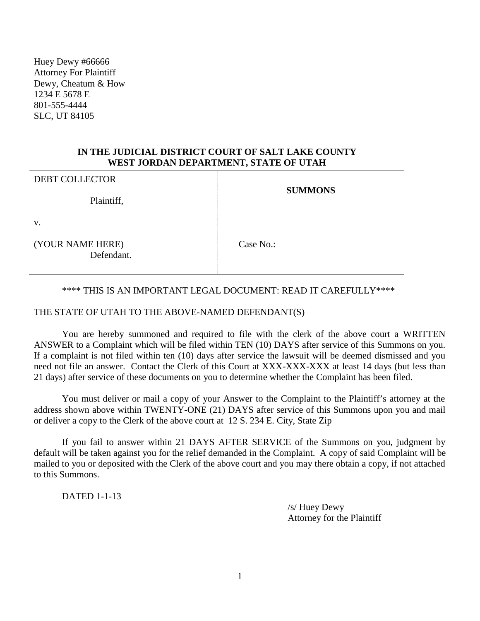## **IN THE JUDICIAL DISTRICT COURT OF SALT LAKE COUNTY WEST JORDAN DEPARTMENT, STATE OF UTAH**

| <b>DEBT COLLECTOR</b><br>Plaintiff, | <b>SUMMONS</b> |
|-------------------------------------|----------------|
| V.                                  |                |
| (YOUR NAME HERE)<br>Defendant.      | Case No.:      |

### \*\*\*\* THIS IS AN IMPORTANT LEGAL DOCUMENT: READ IT CAREFULLY\*\*\*\*

#### THE STATE OF UTAH TO THE ABOVE-NAMED DEFENDANT(S)

You are hereby summoned and required to file with the clerk of the above court a WRITTEN ANSWER to a Complaint which will be filed within TEN (10) DAYS after service of this Summons on you. If a complaint is not filed within ten (10) days after service the lawsuit will be deemed dismissed and you need not file an answer. Contact the Clerk of this Court at XXX-XXX-XXX at least 14 days (but less than 21 days) after service of these documents on you to determine whether the Complaint has been filed.

You must deliver or mail a copy of your Answer to the Complaint to the Plaintiff's attorney at the address shown above within TWENTY-ONE (21) DAYS after service of this Summons upon you and mail or deliver a copy to the Clerk of the above court at 12 S. 234 E. City, State Zip

If you fail to answer within 21 DAYS AFTER SERVICE of the Summons on you, judgment by default will be taken against you for the relief demanded in the Complaint. A copy of said Complaint will be mailed to you or deposited with the Clerk of the above court and you may there obtain a copy, if not attached to this Summons.

DATED 1-1-13

/s/ Huey Dewy Attorney for the Plaintiff